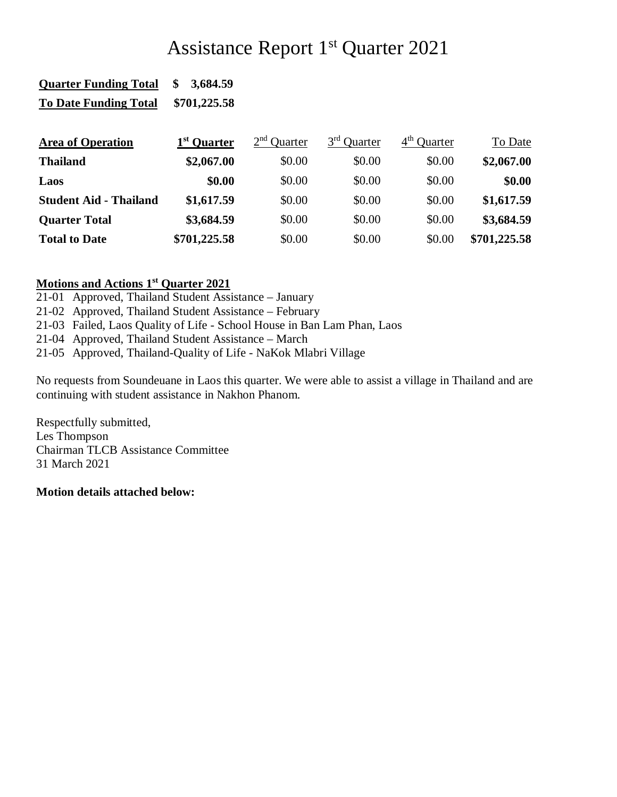# Assistance Report 1st Quarter 2021

| <b>Quarter Funding Total</b>  | 3,684.59<br>\$          |                                   |                         |                         |              |
|-------------------------------|-------------------------|-----------------------------------|-------------------------|-------------------------|--------------|
| <b>To Date Funding Total</b>  | \$701,225.58            |                                   |                         |                         |              |
| <b>Area of Operation</b>      | 1 <sup>st</sup> Quarter | 2 <sup>nd</sup><br><b>Ouarter</b> | 3 <sup>rd</sup> Quarter | 4 <sup>th</sup> Quarter | To Date      |
|                               |                         |                                   |                         |                         |              |
| <b>Thailand</b>               | \$2,067.00              | \$0.00                            | \$0.00                  | \$0.00                  | \$2,067.00   |
| Laos                          | \$0.00                  | \$0.00                            | \$0.00                  | \$0.00                  | \$0.00       |
| <b>Student Aid - Thailand</b> | \$1,617.59              | \$0.00                            | \$0.00                  | \$0.00                  | \$1,617.59   |
| <b>Quarter Total</b>          | \$3,684.59              | \$0.00                            | \$0.00                  | \$0.00                  | \$3,684.59   |
| <b>Total to Date</b>          | \$701,225.58            | \$0.00                            | \$0.00                  | \$0.00                  | \$701,225.58 |

## **Motions and Actions 1st Quarter 2021**

- 21-01 Approved, Thailand Student Assistance January
- 21-02 Approved, Thailand Student Assistance February
- 21-03 Failed, Laos Quality of Life School House in Ban Lam Phan, Laos
- 21-04 Approved, Thailand Student Assistance March
- 21-05 Approved, Thailand-Quality of Life NaKok Mlabri Village

No requests from Soundeuane in Laos this quarter. We were able to assist a village in Thailand and are continuing with student assistance in Nakhon Phanom.

Respectfully submitted, Les Thompson Chairman TLCB Assistance Committee 31 March 2021

#### **Motion details attached below:**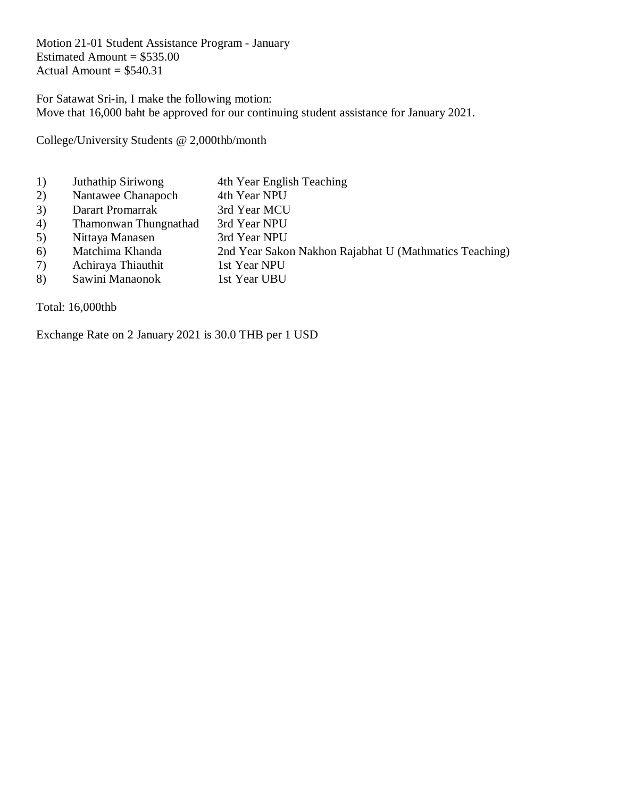Motion 21-01 Student Assistance Program - January Estimated Amount =  $$535.00$ Actual Amount  $= $540.31$ 

For Satawat Sri-in, I make the following motion: Move that 16,000 baht be approved for our continuing student assistance for January 2021.

College/University Students @ 2,000thb/month

- 1) Juthathip Siriwong 4th Year English Teaching
- 2) Nantawee Chanapoch 4th Year NPU
- 3) Darart Promarrak 3rd Year MCU
- 4) Thamonwan Thungnathad 3rd Year NPU
- 5) Nittaya Manasen 3rd Year NPU
- 6) Matchima Khanda 2nd Year Sakon Nakhon Rajabhat U (Mathmatics Teaching)
- 7) Achiraya Thiauthit 1st Year NPU
- 8) Sawini Manaonok 1st Year UBU

Total: 16,000thb

Exchange Rate on 2 January 2021 is 30.0 THB per 1 USD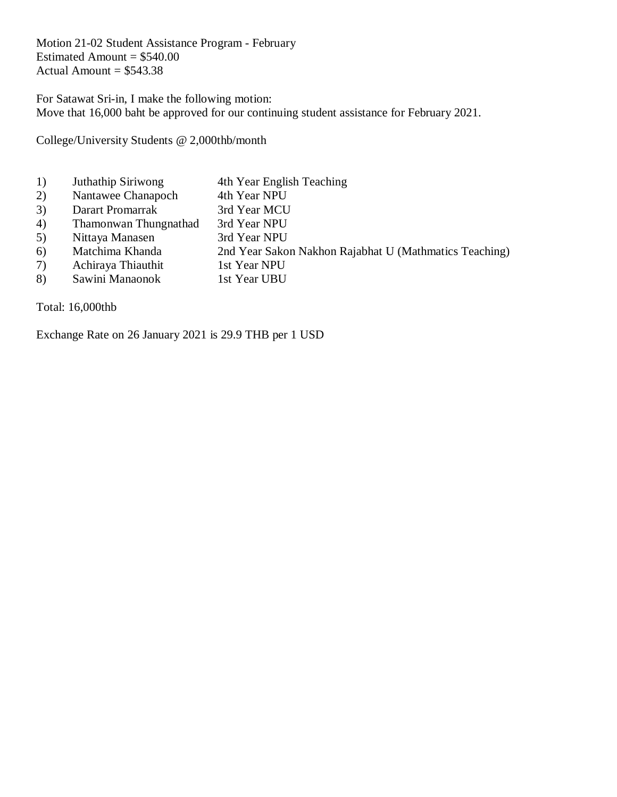Motion 21-02 Student Assistance Program - February Estimated Amount  $= $540.00$ Actual Amount  $= $543.38$ 

For Satawat Sri-in, I make the following motion: Move that 16,000 baht be approved for our continuing student assistance for February 2021.

College/University Students @ 2,000thb/month

- 1) Juthathip Siriwong 4th Year English Teaching
- 2) Nantawee Chanapoch 4th Year NPU
- 3) Darart Promarrak 3rd Year MCU
- 4) Thamonwan Thungnathad 3rd Year NPU
- 5) Nittaya Manasen 3rd Year NPU
- 6) Matchima Khanda 2nd Year Sakon Nakhon Rajabhat U (Mathmatics Teaching)
- 7) Achiraya Thiauthit 1st Year NPU
- 8) Sawini Manaonok 1st Year UBU

Total: 16,000thb

Exchange Rate on 26 January 2021 is 29.9 THB per 1 USD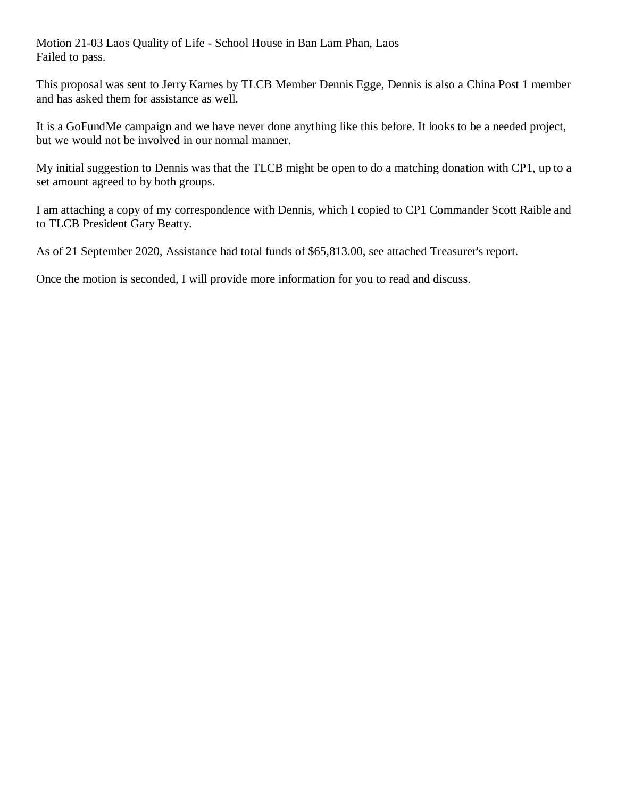Motion 21-03 Laos Quality of Life - School House in Ban Lam Phan, Laos Failed to pass.

This proposal was sent to Jerry Karnes by TLCB Member Dennis Egge, Dennis is also a China Post 1 member and has asked them for assistance as well.

It is a GoFundMe campaign and we have never done anything like this before. It looks to be a needed project, but we would not be involved in our normal manner.

My initial suggestion to Dennis was that the TLCB might be open to do a matching donation with CP1, up to a set amount agreed to by both groups.

I am attaching a copy of my correspondence with Dennis, which I copied to CP1 Commander Scott Raible and to TLCB President Gary Beatty.

As of 21 September 2020, Assistance had total funds of \$65,813.00, see attached Treasurer's report.

Once the motion is seconded, I will provide more information for you to read and discuss.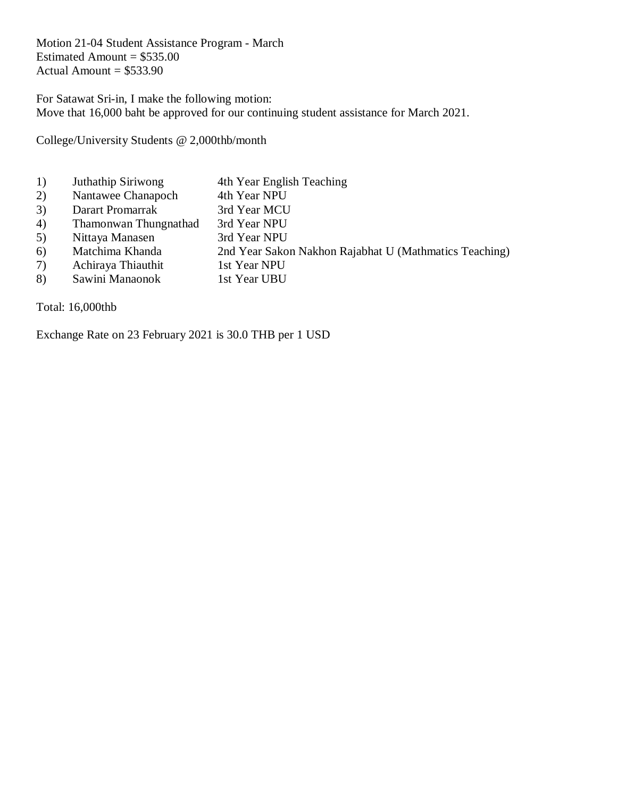Motion 21-04 Student Assistance Program - March Estimated Amount =  $$535.00$ Actual Amount  $= $533.90$ 

For Satawat Sri-in, I make the following motion: Move that 16,000 baht be approved for our continuing student assistance for March 2021.

College/University Students @ 2,000thb/month

- 1) Juthathip Siriwong 4th Year English Teaching
- 2) Nantawee Chanapoch 4th Year NPU
- 3) Darart Promarrak 3rd Year MCU
- 4) Thamonwan Thungnathad 3rd Year NPU
- 5) Nittaya Manasen 3rd Year NPU
- 6) Matchima Khanda 2nd Year Sakon Nakhon Rajabhat U (Mathmatics Teaching)
- 7) Achiraya Thiauthit 1st Year NPU
- 8) Sawini Manaonok 1st Year UBU

Total: 16,000thb

Exchange Rate on 23 February 2021 is 30.0 THB per 1 USD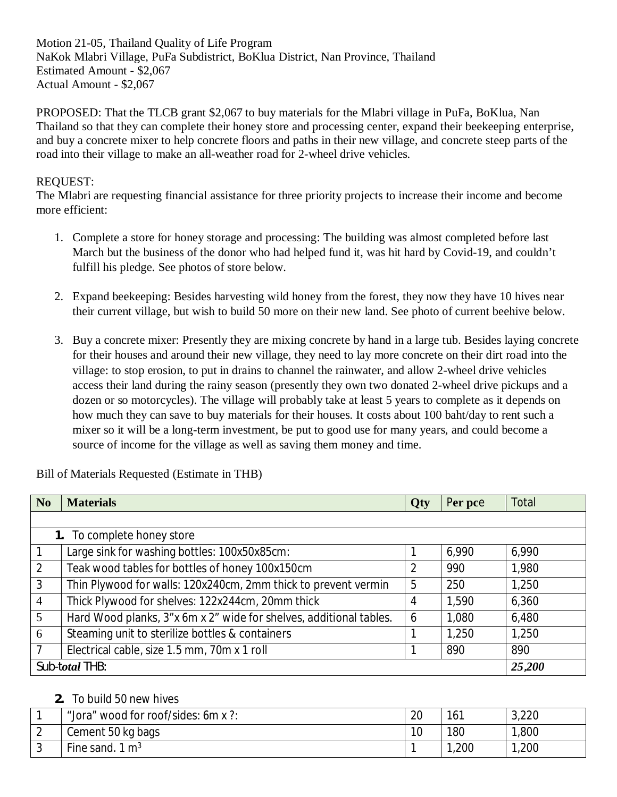Motion 21-05, Thailand Quality of Life Program NaKok Mlabri Village, PuFa Subdistrict, BoKlua District, Nan Province, Thailand Estimated Amount - \$2,067 Actual Amount - \$2,067

PROPOSED: That the TLCB grant \$2,067 to buy materials for the Mlabri village in PuFa, BoKlua, Nan Thailand so that they can complete their honey store and processing center, expand their beekeeping enterprise, and buy a concrete mixer to help concrete floors and paths in their new village, and concrete steep parts of the road into their village to make an all-weather road for 2-wheel drive vehicles.

## REQUEST:

The Mlabri are requesting financial assistance for three priority projects to increase their income and become more efficient:

- 1. Complete a store for honey storage and processing: The building was almost completed before last March but the business of the donor who had helped fund it, was hit hard by Covid-19, and couldn't fulfill his pledge. See photos of store below.
- 2. Expand beekeeping: Besides harvesting wild honey from the forest, they now they have 10 hives near their current village, but wish to build 50 more on their new land. See photo of current beehive below.
- 3. Buy a concrete mixer: Presently they are mixing concrete by hand in a large tub. Besides laying concrete for their houses and around their new village, they need to lay more concrete on their dirt road into the village: to stop erosion, to put in drains to channel the rainwater, and allow 2-wheel drive vehicles access their land during the rainy season (presently they own two donated 2-wheel drive pickups and a dozen or so motorcycles). The village will probably take at least 5 years to complete as it depends on how much they can save to buy materials for their houses. It costs about 100 baht/day to rent such a mixer so it will be a long-term investment, be put to good use for many years, and could become a source of income for the village as well as saving them money and time.

| N <sub>0</sub>             | <b>Materials</b>                                                   | Qty | Per pce | Total  |  |
|----------------------------|--------------------------------------------------------------------|-----|---------|--------|--|
|                            |                                                                    |     |         |        |  |
| 1. To complete honey store |                                                                    |     |         |        |  |
|                            | Large sink for washing bottles: 100x50x85cm:                       |     | 6,990   | 6,990  |  |
| 2                          | Teak wood tables for bottles of honey 100x150cm                    |     | 990     | 1,980  |  |
| $\overline{3}$             | Thin Plywood for walls: 120x240cm, 2mm thick to prevent vermin     | 5   | 250     | 1,250  |  |
| $\overline{4}$             | Thick Plywood for shelves: 122x244cm, 20mm thick                   | 4   | 1,590   | 6,360  |  |
| $5\overline{)}$            | Hard Wood planks, 3"x 6m x 2" wide for shelves, additional tables. | 6   | 1,080   | 6,480  |  |
| 6                          | Steaming unit to sterilize bottles & containers                    |     | 1,250   | 1,250  |  |
| $\overline{7}$             | Electrical cable, size 1.5 mm, 70m x 1 roll                        |     | 890     | 890    |  |
| Sub-total THB:             |                                                                    |     |         | 25,200 |  |

Bill of Materials Requested (Estimate in THB)

### **2.** To build 50 new hives

| "Jora" wood for roof/sides: 6m x ?: | 20             | 161  | 3,220  |
|-------------------------------------|----------------|------|--------|
| Cement 50 kg bags                   | 1 $\cap$<br>ιv | 180  | ,800   |
| Fine sand.<br>$1 \text{ m}^3$       |                | ,200 | 200, ا |